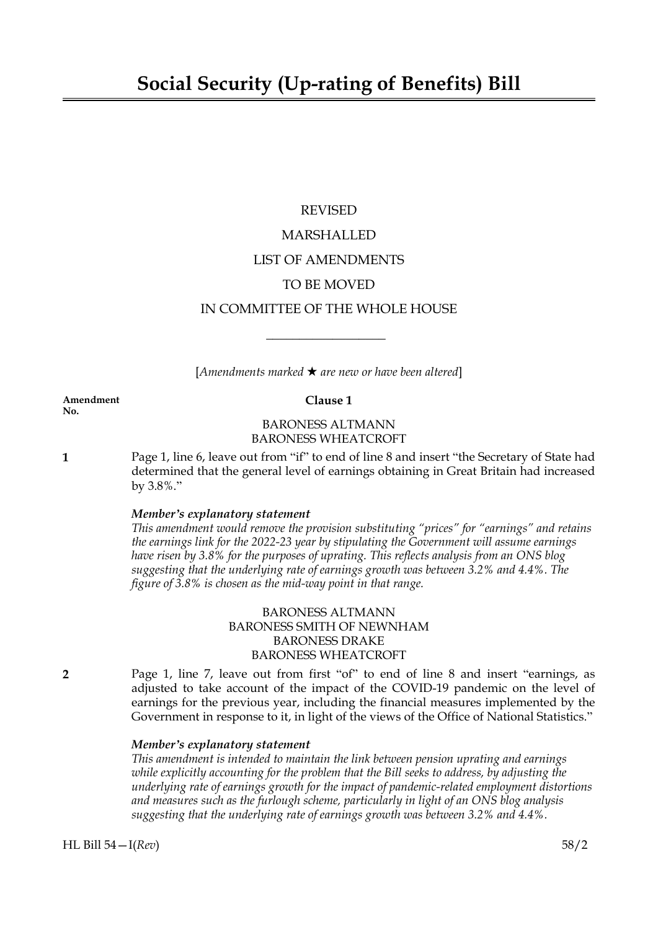### REVISED

# MARSHALLED

### LIST OF AMENDMENTS

# TO BE MOVED

# IN COMMITTEE OF THE WHOLE HOUSE

 $\overline{\phantom{a}}$  , where  $\overline{\phantom{a}}$ 

 $[Amendments marked \star are new or have been altered]$ 

#### **Amendment Clause 1**

# BARONESS ALTMANN BARONESS WHEATCROFT

**1** Page 1, line 6, leave out from "if" to end of line 8 and insert "the Secretary of State had determined that the general level of earnings obtaining in Great Britain had increased by 3.8%."

### *Member's explanatory statement*

*This amendment would remove the provision substituting "prices" for "earnings" and retains the earnings link for the 2022-23 year by stipulating the Government will assume earnings have risen by 3.8% for the purposes of uprating. This reflects analysis from an ONS blog suggesting that the underlying rate of earnings growth was between 3.2% and 4.4%. The figure of 3.8% is chosen as the mid-way point in that range.*

# BARONESS ALTMANN BARONESS SMITH OF NEWNHAM BARONESS DRAKE BARONESS WHEATCROFT

**2** Page 1, line 7, leave out from first "of" to end of line 8 and insert "earnings, as adjusted to take account of the impact of the COVID-19 pandemic on the level of earnings for the previous year, including the financial measures implemented by the Government in response to it, in light of the views of the Office of National Statistics."

### *Member's explanatory statement*

*This amendment is intended to maintain the link between pension uprating and earnings while explicitly accounting for the problem that the Bill seeks to address, by adjusting the underlying rate of earnings growth for the impact of pandemic-related employment distortions and measures such as the furlough scheme, particularly in light of an ONS blog analysis suggesting that the underlying rate of earnings growth was between 3.2% and 4.4%.*

**No.**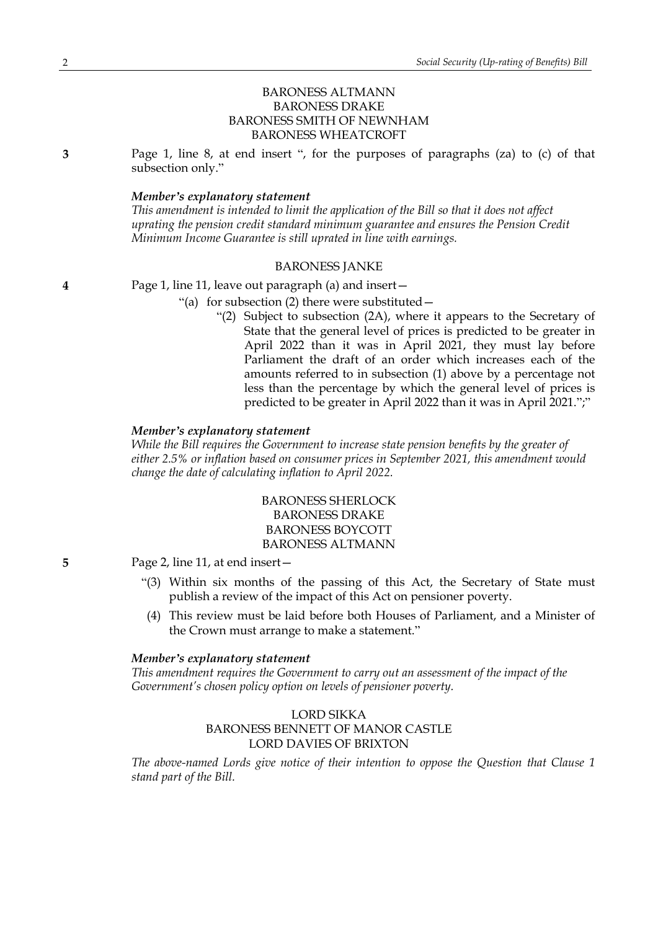# BARONESS ALTMANN BARONESS DRAKE BARONESS SMITH OF NEWNHAM BARONESS WHEATCROFT

**3** Page 1, line 8, at end insert ", for the purposes of paragraphs (za) to (c) of that subsection only."

#### *Member's explanatory statement*

*This amendment is intended to limit the application of the Bill so that it does not affect uprating the pension credit standard minimum guarantee and ensures the Pension Credit Minimum Income Guarantee is still uprated in line with earnings.*

#### BARONESS JANKE

**4** Page 1, line 11, leave out paragraph (a) and insert—

- "(a) for subsection (2) there were substituted—
	- "(2) Subject to subsection (2A), where it appears to the Secretary of State that the general level of prices is predicted to be greater in April 2022 than it was in April 2021, they must lay before Parliament the draft of an order which increases each of the amounts referred to in subsection (1) above by a percentage not less than the percentage by which the general level of prices is predicted to be greater in April 2022 than it was in April 2021.";"

#### *Member's explanatory statement*

*While the Bill requires the Government to increase state pension benefits by the greater of either 2.5% or inflation based on consumer prices in September 2021, this amendment would change the date of calculating inflation to April 2022.*

> BARONESS SHERLOCK BARONESS DRAKE BARONESS BOYCOTT BARONESS ALTMANN

**5** Page 2, line 11, at end insert—

- "(3) Within six months of the passing of this Act, the Secretary of State must publish a review of the impact of this Act on pensioner poverty.
- (4) This review must be laid before both Houses of Parliament, and a Minister of the Crown must arrange to make a statement."

### *Member's explanatory statement*

*This amendment requires the Government to carry out an assessment of the impact of the Government's chosen policy option on levels of pensioner poverty.*

# LORD SIKKA BARONESS BENNETT OF MANOR CASTLE LORD DAVIES OF BRIXTON

*The above-named Lords give notice of their intention to oppose the Question that Clause 1 stand part of the Bill.*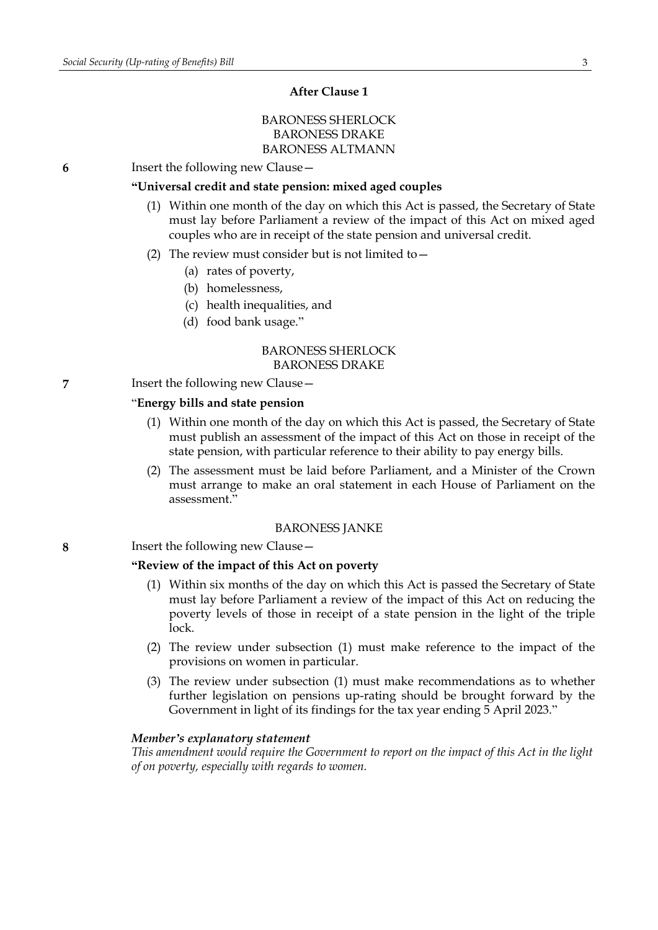### **After Clause 1**

# BARONESS SHERLOCK BARONESS DRAKE BARONESS ALTMANN

**6** Insert the following new Clause—

### **"Universal credit and state pension: mixed aged couples**

- (1) Within one month of the day on which this Act is passed, the Secretary of State must lay before Parliament a review of the impact of this Act on mixed aged couples who are in receipt of the state pension and universal credit.
- (2) The review must consider but is not limited to  $-$ 
	- (a) rates of poverty,
	- (b) homelessness,
	- (c) health inequalities, and
	- (d) food bank usage."

### BARONESS SHERLOCK BARONESS DRAKE

**7** Insert the following new Clause—

#### "**Energy bills and state pension**

- (1) Within one month of the day on which this Act is passed, the Secretary of State must publish an assessment of the impact of this Act on those in receipt of the state pension, with particular reference to their ability to pay energy bills.
- (2) The assessment must be laid before Parliament, and a Minister of the Crown must arrange to make an oral statement in each House of Parliament on the assessment."

#### BARONESS JANKE

**8** Insert the following new Clause—

### **"Review of the impact of this Act on poverty**

- (1) Within six months of the day on which this Act is passed the Secretary of State must lay before Parliament a review of the impact of this Act on reducing the poverty levels of those in receipt of a state pension in the light of the triple lock.
- (2) The review under subsection (1) must make reference to the impact of the provisions on women in particular.
- (3) The review under subsection (1) must make recommendations as to whether further legislation on pensions up-rating should be brought forward by the Government in light of its findings for the tax year ending 5 April 2023."

#### *Member's explanatory statement*

*This amendment would require the Government to report on the impact of this Act in the light of on poverty, especially with regards to women.*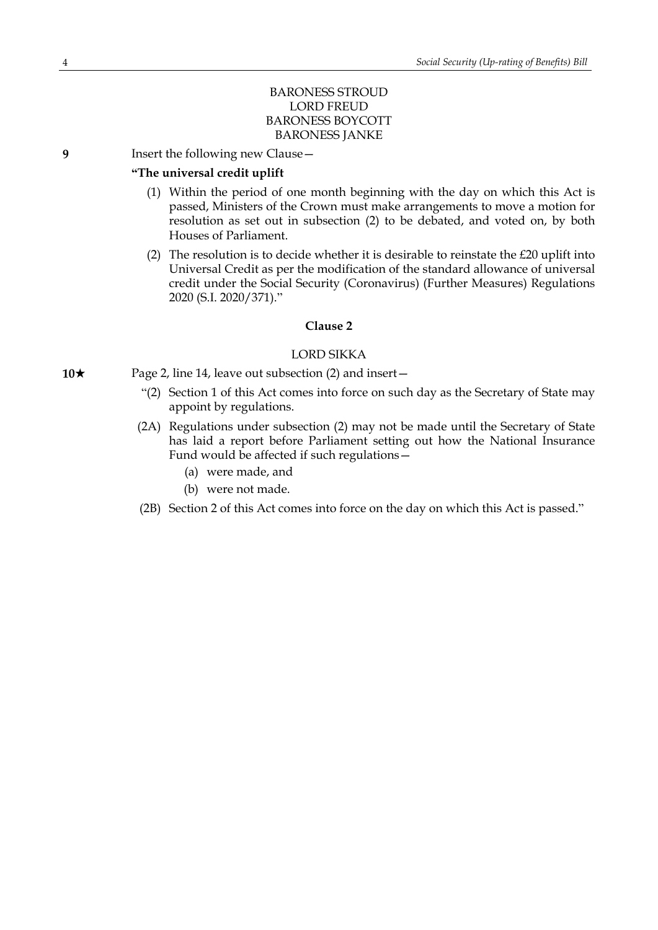## BARONESS STROUD LORD FREUD BARONESS BOYCOTT BARONESS JANKE

**9** Insert the following new Clause—

### **"The universal credit uplift**

- (1) Within the period of one month beginning with the day on which this Act is passed, Ministers of the Crown must make arrangements to move a motion for resolution as set out in subsection (2) to be debated, and voted on, by both Houses of Parliament.
- (2) The resolution is to decide whether it is desirable to reinstate the  $E20$  uplift into Universal Credit as per the modification of the standard allowance of universal credit under the Social Security (Coronavirus) (Further Measures) Regulations 2020 (S.I. 2020/371)."

### **Clause 2**

### LORD SIKKA

- **10**★ Page 2, line 14, leave out subsection (2) and insert—
	- "(2) Section 1 of this Act comes into force on such day as the Secretary of State may appoint by regulations.
	- (2A) Regulations under subsection (2) may not be made until the Secretary of State has laid a report before Parliament setting out how the National Insurance Fund would be affected if such regulations—
		- (a) were made, and
		- (b) were not made.
	- (2B) Section 2 of this Act comes into force on the day on which this Act is passed."